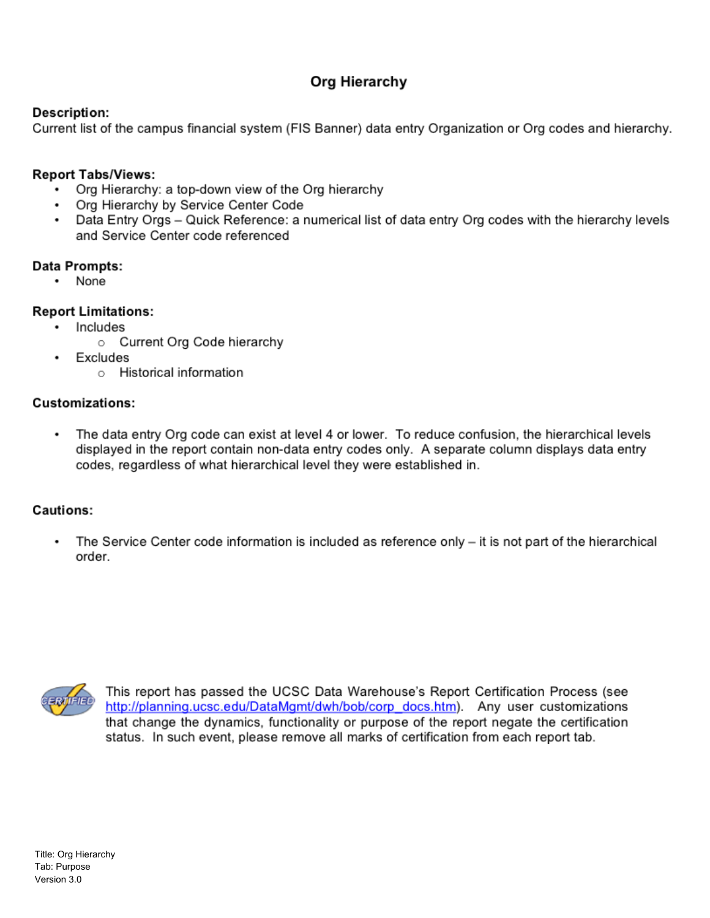## Org Hierarchy

#### **Description:**

Current list of the campus financial system (FIS Banner) data entry Organization or Org codes and hierarchy.

#### **Report Tabs/Views:**

- Org Hierarchy: a top-down view of the Org hierarchy
- Org Hierarchy by Service Center Code
- Data Entry Orgs Quick Reference: a numerical list of data entry Org codes with the hierarchy levels and Service Center code referenced

#### Data Prompts:

• None

#### **Report Limitations:**

- · Includes
	- o Current Org Code hierarchy
- Excludes
	- o Historical information

#### **Customizations:**

The data entry Org code can exist at level 4 or lower. To reduce confusion, the hierarchical levels displayed in the report contain non-data entry codes only. A separate column displays data entry codes, regardless of what hierarchical level they were established in.

### Cautions:

The Service Center code information is included as reference only – it is not part of the hierarchical order.



This report has passed the UCSC Data Warehouse's Report Certification Process (see http://planning.ucsc.edu/DataMgmt/dwh/bob/corp\_docs.htm). Any user customizations that change the dynamics, functionality or purpose of the report negate the certification status. In such event, please remove all marks of certification from each report tab.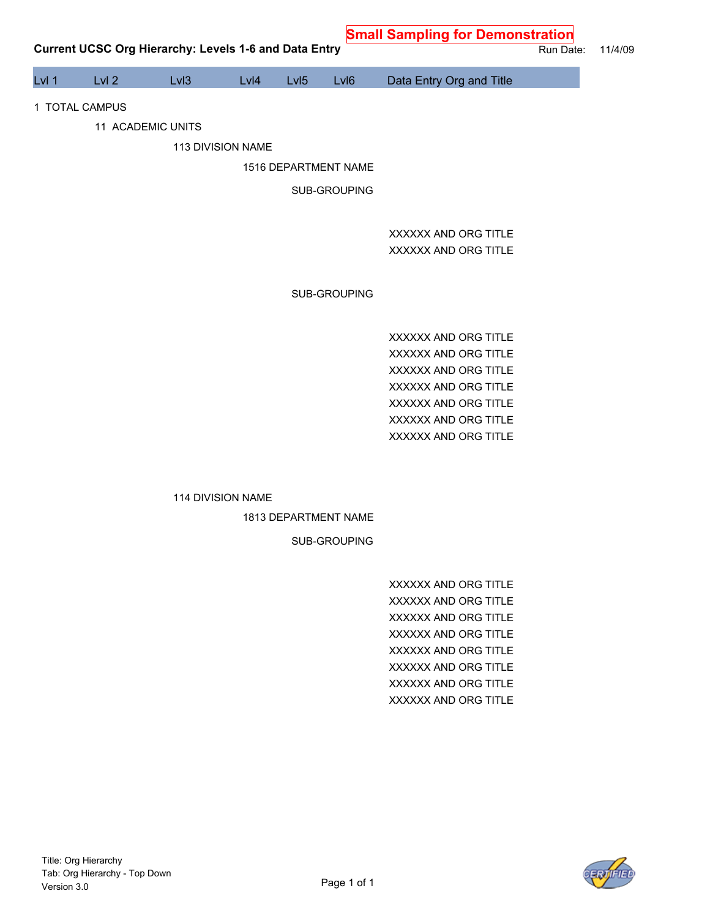**Small Sampling for Demonstration**

| Lvl 1 | Lvl <sub>2</sub> | Lvl3              | Lvl4              | LvI <sub>5</sub>     | Lvl <sub>6</sub>     | Data Entry Org and Title                     |
|-------|------------------|-------------------|-------------------|----------------------|----------------------|----------------------------------------------|
|       | 1 TOTAL CAMPUS   |                   |                   |                      |                      |                                              |
|       |                  | 11 ACADEMIC UNITS |                   |                      |                      |                                              |
|       |                  |                   | 113 DIVISION NAME |                      |                      |                                              |
|       |                  |                   |                   | 1516 DEPARTMENT NAME |                      |                                              |
|       |                  |                   |                   |                      | SUB-GROUPING         |                                              |
|       |                  |                   |                   |                      |                      |                                              |
|       |                  |                   |                   |                      |                      | XXXXXX AND ORG TITLE                         |
|       |                  |                   |                   |                      |                      | XXXXXX AND ORG TITLE                         |
|       |                  |                   |                   |                      |                      |                                              |
|       |                  |                   |                   |                      | SUB-GROUPING         |                                              |
|       |                  |                   |                   |                      |                      |                                              |
|       |                  |                   |                   |                      |                      | XXXXXX AND ORG TITLE                         |
|       |                  |                   |                   |                      |                      | XXXXXX AND ORG TITLE                         |
|       |                  |                   |                   |                      |                      | XXXXXX AND ORG TITLE<br>XXXXXX AND ORG TITLE |
|       |                  |                   |                   |                      |                      | XXXXXX AND ORG TITLE                         |
|       |                  |                   |                   |                      |                      | XXXXXX AND ORG TITLE                         |
|       |                  |                   |                   |                      |                      | XXXXXX AND ORG TITLE                         |
|       |                  |                   |                   |                      |                      |                                              |
|       |                  |                   | 114 DIVISION NAME |                      |                      |                                              |
|       |                  |                   |                   |                      | 1813 DEPARTMENT NAME |                                              |
|       |                  |                   |                   |                      | SUB-GROUPING         |                                              |
|       |                  |                   |                   |                      |                      |                                              |
|       |                  |                   |                   |                      |                      | XXXXXX AND ORG TITLE                         |
|       |                  |                   |                   |                      |                      | XXXXXX AND ORG TITLE                         |
|       |                  |                   |                   |                      |                      | XXXXXX AND ORG TITLE                         |
|       |                  |                   |                   |                      |                      | XXXXXX AND ORG TITLE                         |
|       |                  |                   |                   |                      |                      | XXXXXX AND ORG TITLE<br>XXXXXX AND ORG TITLE |
|       |                  |                   |                   |                      |                      | XXXXXX AND ORG TITLE                         |
|       |                  |                   |                   |                      |                      | XXXXXX AND ORG TITLE                         |
|       |                  |                   |                   |                      |                      |                                              |
|       |                  |                   |                   |                      |                      |                                              |
|       |                  |                   |                   |                      |                      |                                              |
|       |                  |                   |                   |                      |                      |                                              |
|       |                  |                   |                   |                      |                      |                                              |

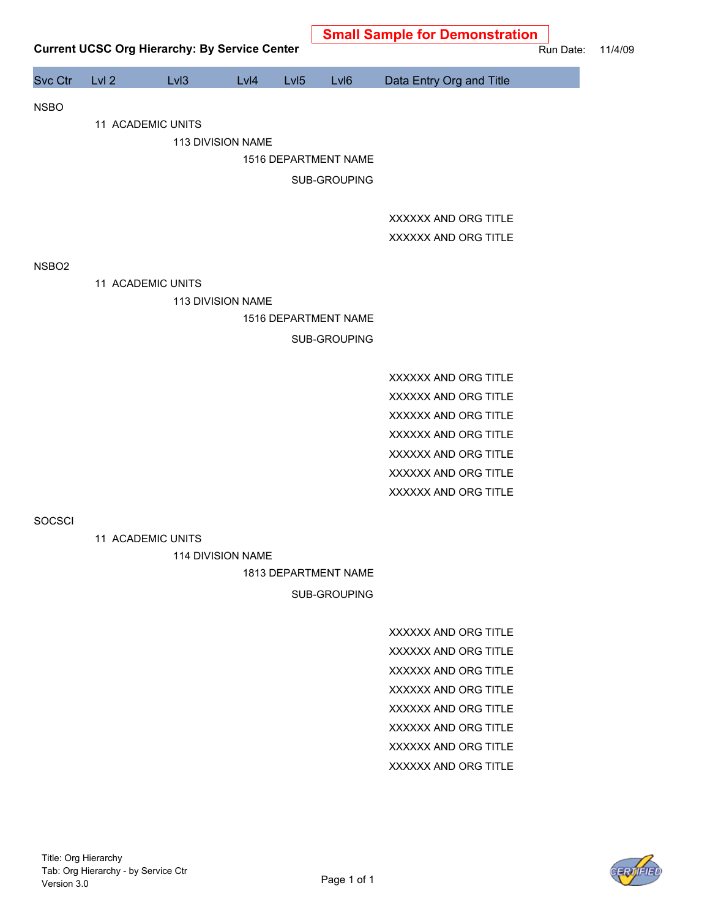|                   |       | <b>Current UCSC Org Hierarchy: By Service Center</b> |                   |                  |                      | <b>Small Sample for Demonstration</b> | Run Date: |
|-------------------|-------|------------------------------------------------------|-------------------|------------------|----------------------|---------------------------------------|-----------|
| Svc Ctr           | Lvl 2 | Lv <sub>13</sub>                                     | Lvl4              | LvI <sub>5</sub> | LvI6                 | Data Entry Org and Title              |           |
| <b>NSBO</b>       |       |                                                      |                   |                  |                      |                                       |           |
|                   |       | 11 ACADEMIC UNITS                                    |                   |                  |                      |                                       |           |
|                   |       |                                                      | 113 DIVISION NAME |                  |                      |                                       |           |
|                   |       |                                                      |                   |                  | 1516 DEPARTMENT NAME |                                       |           |
|                   |       |                                                      |                   |                  | SUB-GROUPING         |                                       |           |
|                   |       |                                                      |                   |                  |                      | XXXXXX AND ORG TITLE                  |           |
|                   |       |                                                      |                   |                  |                      | XXXXXX AND ORG TITLE                  |           |
|                   |       |                                                      |                   |                  |                      |                                       |           |
| NSBO <sub>2</sub> |       |                                                      |                   |                  |                      |                                       |           |
|                   |       | 11 ACADEMIC UNITS                                    | 113 DIVISION NAME |                  |                      |                                       |           |
|                   |       |                                                      |                   |                  | 1516 DEPARTMENT NAME |                                       |           |
|                   |       |                                                      |                   |                  | SUB-GROUPING         |                                       |           |
|                   |       |                                                      |                   |                  |                      |                                       |           |
|                   |       |                                                      |                   |                  |                      | XXXXXX AND ORG TITLE                  |           |
|                   |       |                                                      |                   |                  |                      | XXXXXX AND ORG TITLE                  |           |
|                   |       |                                                      |                   |                  |                      | XXXXXX AND ORG TITLE                  |           |
|                   |       |                                                      |                   |                  |                      | XXXXXX AND ORG TITLE                  |           |
|                   |       |                                                      |                   |                  |                      | XXXXXX AND ORG TITLE                  |           |
|                   |       |                                                      |                   |                  |                      | XXXXXX AND ORG TITLE                  |           |
|                   |       |                                                      |                   |                  |                      | XXXXXX AND ORG TITLE                  |           |
| SOCSCI            |       |                                                      |                   |                  |                      |                                       |           |
|                   |       | 11 ACADEMIC UNITS                                    |                   |                  |                      |                                       |           |
|                   |       |                                                      | 114 DIVISION NAME |                  |                      |                                       |           |
|                   |       |                                                      |                   |                  | 1813 DEPARTMENT NAME |                                       |           |
|                   |       |                                                      |                   |                  | SUB-GROUPING         |                                       |           |
|                   |       |                                                      |                   |                  |                      | XXXXXX AND ORG TITLE                  |           |
|                   |       |                                                      |                   |                  |                      | XXXXXX AND ORG TITLE                  |           |
|                   |       |                                                      |                   |                  |                      | XXXXXX AND ORG TITLE                  |           |
|                   |       |                                                      |                   |                  |                      | XXXXXX AND ORG TITLE                  |           |
|                   |       |                                                      |                   |                  |                      | XXXXXX AND ORG TITLE                  |           |
|                   |       |                                                      |                   |                  |                      | XXXXXX AND ORG TITLE                  |           |
|                   |       |                                                      |                   |                  |                      | XXXXXX AND ORG TITLE                  |           |
|                   |       |                                                      |                   |                  |                      | XXXXXX AND ORG TITLE                  |           |
|                   |       |                                                      |                   |                  |                      |                                       |           |
|                   |       |                                                      |                   |                  |                      |                                       |           |